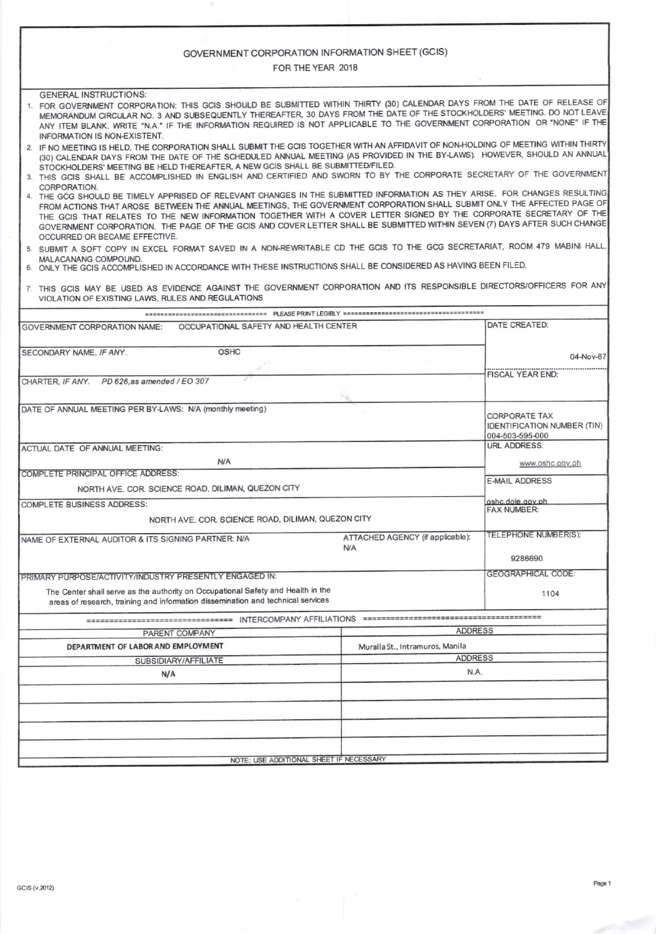## GOVERNMENT CORPORATION INFORMATION SHEET (GCIS)

FOR THE YEAR 2018

| <b>GENERAL INSTRUCTIONS:</b><br>1. FOR GOVERNMENT CORPORATION: THIS GCIS SHOULD BE SUBMITTED WITHIN THIRTY (30) CALENDAR DAYS FROM THE DATE OF RELEASE OF<br>MEMORANDUM CIRCULAR NO. 3 AND SUBSEQUENTLY THEREAFTER, 30 DAYS FROM THE DATE OF THE STOCKHOLDERS' MEETING. DO NOT LEAVE<br>ANY ITEM BLANK. WRITE "N.A." IF THE INFORMATION REQUIRED IS NOT APPLICABLE TO THE GOVERNMENT CORPORATION OR "NONE" IF THE<br>INFORMATION IS NON-EXISTENT.<br>2. IF NO MEETING IS HELD, THE CORPORATION SHALL SUBMIT THE GCIS TOGETHER WITH AN AFFIDAVIT OF NON-HOLDING OF MEETING WITHIN THIRTY<br>(30) CALENDAR DAYS FROM THE DATE OF THE SCHEDULED ANNUAL MEETING (AS PROVIDED IN THE BY-LAWS). HOWEVER, SHOULD AN ANNUAL<br>STOCKHOLDERS' MEETING BE HELD THEREAFTER, A NEW GCIS SHALL BE SUBMITTED/FILED.<br>3. THIS GCIS SHALL BE ACCOMPLISHED IN ENGLISH AND CERTIFIED AND SWORN TO BY THE CORPORATE SECRETARY OF THE GOVERNMENT<br>CORPORATION.<br>4. THE GCG SHOULD BE TIMELY APPRISED OF RELEVANT CHANGES IN THE SUBMITTED INFORMATION AS THEY ARISE. FOR CHANGES RESULTING<br>FROM ACTIONS THAT AROSE BETWEEN THE ANNUAL MEETINGS, THE GOVERNMENT CORPORATION SHALL SUBMIT ONLY THE AFFECTED PAGE OF<br>THE GCIS THAT RELATES TO THE NEW INFORMATION TOGETHER WITH A COVER LETTER SIGNED BY THE CORPORATE SECRETARY OF THE<br>GOVERNMENT CORPORATION. THE PAGE OF THE GCIS AND COVER LETTER SHALL BE SUBMITTED WITHIN SEVEN (7) DAYS AFTER SUCH CHANGE<br>OCCURRED OR BECAME EFFECTIVE.<br>5. SUBMIT A SOFT COPY IN EXCEL FORMAT SAVED IN A NON-REWRITABLE CD THE GCIS TO THE GCG SECRETARIAT, ROOM 479 MABINI HALL,<br>MALACANANG COMPOUND.<br>6. ONLY THE GCIS ACCOMPLISHED IN ACCORDANCE WITH THESE INSTRUCTIONS SHALL BE CONSIDERED AS HAVING BEEN FILED.<br>7. THIS GCIS MAY BE USED AS EVIDENCE AGAINST THE GOVERNMENT CORPORATION AND ITS RESPONSIBLE DIRECTORS/OFFICERS FOR ANY<br>VIOLATION OF EXISTING LAWS, RULES AND REGULATIONS |                                         |                                                                                                      |  |
|------------------------------------------------------------------------------------------------------------------------------------------------------------------------------------------------------------------------------------------------------------------------------------------------------------------------------------------------------------------------------------------------------------------------------------------------------------------------------------------------------------------------------------------------------------------------------------------------------------------------------------------------------------------------------------------------------------------------------------------------------------------------------------------------------------------------------------------------------------------------------------------------------------------------------------------------------------------------------------------------------------------------------------------------------------------------------------------------------------------------------------------------------------------------------------------------------------------------------------------------------------------------------------------------------------------------------------------------------------------------------------------------------------------------------------------------------------------------------------------------------------------------------------------------------------------------------------------------------------------------------------------------------------------------------------------------------------------------------------------------------------------------------------------------------------------------------------------------------------------------------------------------------------------------------------------------|-----------------------------------------|------------------------------------------------------------------------------------------------------|--|
|                                                                                                                                                                                                                                                                                                                                                                                                                                                                                                                                                                                                                                                                                                                                                                                                                                                                                                                                                                                                                                                                                                                                                                                                                                                                                                                                                                                                                                                                                                                                                                                                                                                                                                                                                                                                                                                                                                                                                |                                         |                                                                                                      |  |
| GOVERNMENT CORPORATION NAME: OCCUPATIONAL SAFETY AND HEALTH CENTER<br><b>OSHC</b>                                                                                                                                                                                                                                                                                                                                                                                                                                                                                                                                                                                                                                                                                                                                                                                                                                                                                                                                                                                                                                                                                                                                                                                                                                                                                                                                                                                                                                                                                                                                                                                                                                                                                                                                                                                                                                                              |                                         | DATE CREATED:                                                                                        |  |
| SECONDARY NAME, IF ANY.                                                                                                                                                                                                                                                                                                                                                                                                                                                                                                                                                                                                                                                                                                                                                                                                                                                                                                                                                                                                                                                                                                                                                                                                                                                                                                                                                                                                                                                                                                                                                                                                                                                                                                                                                                                                                                                                                                                        |                                         | 04-Nov-87                                                                                            |  |
|                                                                                                                                                                                                                                                                                                                                                                                                                                                                                                                                                                                                                                                                                                                                                                                                                                                                                                                                                                                                                                                                                                                                                                                                                                                                                                                                                                                                                                                                                                                                                                                                                                                                                                                                                                                                                                                                                                                                                |                                         |                                                                                                      |  |
| CHARTER, IF ANY. PD 626, as amended / EO 307                                                                                                                                                                                                                                                                                                                                                                                                                                                                                                                                                                                                                                                                                                                                                                                                                                                                                                                                                                                                                                                                                                                                                                                                                                                                                                                                                                                                                                                                                                                                                                                                                                                                                                                                                                                                                                                                                                   |                                         | <b>FISCAL YEAR END:</b>                                                                              |  |
| DATE OF ANNUAL MEETING PER BY-LAWS: N/A (monthly meeting)<br>ACTUAL DATE OF ANNUAL MEETING:                                                                                                                                                                                                                                                                                                                                                                                                                                                                                                                                                                                                                                                                                                                                                                                                                                                                                                                                                                                                                                                                                                                                                                                                                                                                                                                                                                                                                                                                                                                                                                                                                                                                                                                                                                                                                                                    |                                         | <b>CORPORATE TAX</b><br><b>IDENTIFICATION NUMBER (TIN)</b><br>004-503-595-000<br><b>URL ADDRESS:</b> |  |
|                                                                                                                                                                                                                                                                                                                                                                                                                                                                                                                                                                                                                                                                                                                                                                                                                                                                                                                                                                                                                                                                                                                                                                                                                                                                                                                                                                                                                                                                                                                                                                                                                                                                                                                                                                                                                                                                                                                                                |                                         |                                                                                                      |  |
| <b>N/A</b>                                                                                                                                                                                                                                                                                                                                                                                                                                                                                                                                                                                                                                                                                                                                                                                                                                                                                                                                                                                                                                                                                                                                                                                                                                                                                                                                                                                                                                                                                                                                                                                                                                                                                                                                                                                                                                                                                                                                     |                                         | www.oshc.gov.ph                                                                                      |  |
| COMPLETE PRINCIPAL OFFICE ADDRESS:                                                                                                                                                                                                                                                                                                                                                                                                                                                                                                                                                                                                                                                                                                                                                                                                                                                                                                                                                                                                                                                                                                                                                                                                                                                                                                                                                                                                                                                                                                                                                                                                                                                                                                                                                                                                                                                                                                             |                                         | <b>E-MAIL ADDRESS</b>                                                                                |  |
| NORTH AVE. COR. SCIENCE ROAD, DILIMAN, QUEZON CITY                                                                                                                                                                                                                                                                                                                                                                                                                                                                                                                                                                                                                                                                                                                                                                                                                                                                                                                                                                                                                                                                                                                                                                                                                                                                                                                                                                                                                                                                                                                                                                                                                                                                                                                                                                                                                                                                                             |                                         | oshc.dole.gov.ph                                                                                     |  |
| <b>COMPLETE BUSINESS ADDRESS:</b>                                                                                                                                                                                                                                                                                                                                                                                                                                                                                                                                                                                                                                                                                                                                                                                                                                                                                                                                                                                                                                                                                                                                                                                                                                                                                                                                                                                                                                                                                                                                                                                                                                                                                                                                                                                                                                                                                                              | <b>FAX NUMBER:</b>                      |                                                                                                      |  |
| NORTH AVE. COR. SCIENCE ROAD, DILIMAN, QUEZON CITY                                                                                                                                                                                                                                                                                                                                                                                                                                                                                                                                                                                                                                                                                                                                                                                                                                                                                                                                                                                                                                                                                                                                                                                                                                                                                                                                                                                                                                                                                                                                                                                                                                                                                                                                                                                                                                                                                             |                                         |                                                                                                      |  |
| NAME OF EXTERNAL AUDITOR & ITS SIGNING PARTNER: N/A                                                                                                                                                                                                                                                                                                                                                                                                                                                                                                                                                                                                                                                                                                                                                                                                                                                                                                                                                                                                                                                                                                                                                                                                                                                                                                                                                                                                                                                                                                                                                                                                                                                                                                                                                                                                                                                                                            | ATTACHED AGENCY (if applicable):<br>N/A | TELEPHONE NUMBER(S):                                                                                 |  |
|                                                                                                                                                                                                                                                                                                                                                                                                                                                                                                                                                                                                                                                                                                                                                                                                                                                                                                                                                                                                                                                                                                                                                                                                                                                                                                                                                                                                                                                                                                                                                                                                                                                                                                                                                                                                                                                                                                                                                |                                         | 9286690                                                                                              |  |
| PRIMARY PURPOSE/ACTIVITY/INDUSTRY PRESENTLY ENGAGED IN:                                                                                                                                                                                                                                                                                                                                                                                                                                                                                                                                                                                                                                                                                                                                                                                                                                                                                                                                                                                                                                                                                                                                                                                                                                                                                                                                                                                                                                                                                                                                                                                                                                                                                                                                                                                                                                                                                        |                                         | <b>GEOGRAPHICAL CODE:</b>                                                                            |  |
| The Center shall serve as the authority on Occupational Safety and Health in the<br>areas of research, training and information dissemination and technical services                                                                                                                                                                                                                                                                                                                                                                                                                                                                                                                                                                                                                                                                                                                                                                                                                                                                                                                                                                                                                                                                                                                                                                                                                                                                                                                                                                                                                                                                                                                                                                                                                                                                                                                                                                           |                                         | 1104                                                                                                 |  |
|                                                                                                                                                                                                                                                                                                                                                                                                                                                                                                                                                                                                                                                                                                                                                                                                                                                                                                                                                                                                                                                                                                                                                                                                                                                                                                                                                                                                                                                                                                                                                                                                                                                                                                                                                                                                                                                                                                                                                |                                         |                                                                                                      |  |
| <b>ADDRESS</b><br>PARENT COMPANY                                                                                                                                                                                                                                                                                                                                                                                                                                                                                                                                                                                                                                                                                                                                                                                                                                                                                                                                                                                                                                                                                                                                                                                                                                                                                                                                                                                                                                                                                                                                                                                                                                                                                                                                                                                                                                                                                                               |                                         |                                                                                                      |  |
| DEPARTMENT OF LABOR AND EMPLOYMENT                                                                                                                                                                                                                                                                                                                                                                                                                                                                                                                                                                                                                                                                                                                                                                                                                                                                                                                                                                                                                                                                                                                                                                                                                                                                                                                                                                                                                                                                                                                                                                                                                                                                                                                                                                                                                                                                                                             | Muralla St., Intramuros, Manila         |                                                                                                      |  |
| SUBSIDIARY/AFFILIATE                                                                                                                                                                                                                                                                                                                                                                                                                                                                                                                                                                                                                                                                                                                                                                                                                                                                                                                                                                                                                                                                                                                                                                                                                                                                                                                                                                                                                                                                                                                                                                                                                                                                                                                                                                                                                                                                                                                           | <b>ADDRESS</b>                          |                                                                                                      |  |
| N/A                                                                                                                                                                                                                                                                                                                                                                                                                                                                                                                                                                                                                                                                                                                                                                                                                                                                                                                                                                                                                                                                                                                                                                                                                                                                                                                                                                                                                                                                                                                                                                                                                                                                                                                                                                                                                                                                                                                                            | N.A.                                    |                                                                                                      |  |
|                                                                                                                                                                                                                                                                                                                                                                                                                                                                                                                                                                                                                                                                                                                                                                                                                                                                                                                                                                                                                                                                                                                                                                                                                                                                                                                                                                                                                                                                                                                                                                                                                                                                                                                                                                                                                                                                                                                                                |                                         |                                                                                                      |  |
|                                                                                                                                                                                                                                                                                                                                                                                                                                                                                                                                                                                                                                                                                                                                                                                                                                                                                                                                                                                                                                                                                                                                                                                                                                                                                                                                                                                                                                                                                                                                                                                                                                                                                                                                                                                                                                                                                                                                                |                                         |                                                                                                      |  |
|                                                                                                                                                                                                                                                                                                                                                                                                                                                                                                                                                                                                                                                                                                                                                                                                                                                                                                                                                                                                                                                                                                                                                                                                                                                                                                                                                                                                                                                                                                                                                                                                                                                                                                                                                                                                                                                                                                                                                |                                         |                                                                                                      |  |
|                                                                                                                                                                                                                                                                                                                                                                                                                                                                                                                                                                                                                                                                                                                                                                                                                                                                                                                                                                                                                                                                                                                                                                                                                                                                                                                                                                                                                                                                                                                                                                                                                                                                                                                                                                                                                                                                                                                                                |                                         |                                                                                                      |  |
|                                                                                                                                                                                                                                                                                                                                                                                                                                                                                                                                                                                                                                                                                                                                                                                                                                                                                                                                                                                                                                                                                                                                                                                                                                                                                                                                                                                                                                                                                                                                                                                                                                                                                                                                                                                                                                                                                                                                                |                                         |                                                                                                      |  |
| NOTE: USE ADDITIONAL SHEET IF NECESSARY                                                                                                                                                                                                                                                                                                                                                                                                                                                                                                                                                                                                                                                                                                                                                                                                                                                                                                                                                                                                                                                                                                                                                                                                                                                                                                                                                                                                                                                                                                                                                                                                                                                                                                                                                                                                                                                                                                        |                                         |                                                                                                      |  |